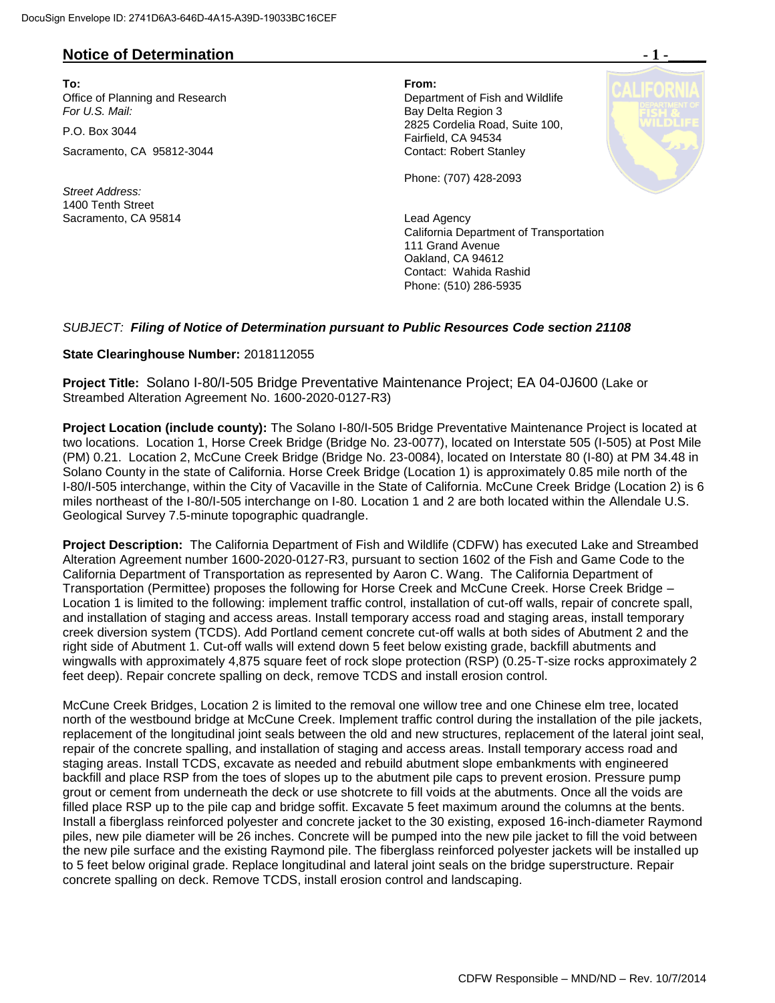## **Notice of Determination**

**To: From:**  Office of Planning and Research Department of Fish and Wildlife<br>
For U.S. Mail: Department of Fish and Wildlife

Sacramento, CA 95812-3044 Contact: Robert Stanley

*Street Address:* 1400 Tenth Street Sacramento, CA 95814 **Lead Agency** Lead Agency

**Bay Delta Region 3** P.O. Box 3044 2825 Cordelia Road, Suite 100, Fairfield, CA 94534

Phone: (707) 428-2093

California Department of Transportation 111 Grand Avenue Oakland, CA 94612 Contact: Wahida Rashid Phone: (510) 286-5935

#### *SUBJECT: Filing of Notice of Determination pursuant to Public Resources Code section 21108*

#### **State Clearinghouse Number:** 2018112055

**Project Title:** Solano I-80/I-505 Bridge Preventative Maintenance Project; EA 04-0J600 (Lake or Streambed Alteration Agreement No. 1600-2020-0127-R3)

**Project Location (include county):** The Solano I-80/I-505 Bridge Preventative Maintenance Project is located at two locations. Location 1, Horse Creek Bridge (Bridge No. 23-0077), located on Interstate 505 (I-505) at Post Mile (PM) 0.21. Location 2, McCune Creek Bridge (Bridge No. 23-0084), located on Interstate 80 (I-80) at PM 34.48 in Solano County in the state of California. Horse Creek Bridge (Location 1) is approximately 0.85 mile north of the I-80/I-505 interchange, within the City of Vacaville in the State of California. McCune Creek Bridge (Location 2) is 6 miles northeast of the I-80/I-505 interchange on I-80. Location 1 and 2 are both located within the Allendale U.S. Geological Survey 7.5-minute topographic quadrangle.

**Project Description:** The California Department of Fish and Wildlife (CDFW) has executed Lake and Streambed Alteration Agreement number 1600-2020-0127-R3, pursuant to section 1602 of the Fish and Game Code to the California Department of Transportation as represented by Aaron C. Wang. The California Department of Transportation (Permittee) proposes the following for Horse Creek and McCune Creek. Horse Creek Bridge – Location 1 is limited to the following: implement traffic control, installation of cut-off walls, repair of concrete spall, and installation of staging and access areas. Install temporary access road and staging areas, install temporary creek diversion system (TCDS). Add Portland cement concrete cut-off walls at both sides of Abutment 2 and the right side of Abutment 1. Cut-off walls will extend down 5 feet below existing grade, backfill abutments and wingwalls with approximately 4,875 square feet of rock slope protection (RSP) (0.25-T-size rocks approximately 2 feet deep). Repair concrete spalling on deck, remove TCDS and install erosion control.

McCune Creek Bridges, Location 2 is limited to the removal one willow tree and one Chinese elm tree, located north of the westbound bridge at McCune Creek. Implement traffic control during the installation of the pile jackets, replacement of the longitudinal joint seals between the old and new structures, replacement of the lateral joint seal, repair of the concrete spalling, and installation of staging and access areas. Install temporary access road and staging areas. Install TCDS, excavate as needed and rebuild abutment slope embankments with engineered backfill and place RSP from the toes of slopes up to the abutment pile caps to prevent erosion. Pressure pump grout or cement from underneath the deck or use shotcrete to fill voids at the abutments. Once all the voids are filled place RSP up to the pile cap and bridge soffit. Excavate 5 feet maximum around the columns at the bents. Install a fiberglass reinforced polyester and concrete jacket to the 30 existing, exposed 16-inch-diameter Raymond piles, new pile diameter will be 26 inches. Concrete will be pumped into the new pile jacket to fill the void between the new pile surface and the existing Raymond pile. The fiberglass reinforced polyester jackets will be installed up to 5 feet below original grade. Replace longitudinal and lateral joint seals on the bridge superstructure. Repair concrete spalling on deck. Remove TCDS, install erosion control and landscaping.